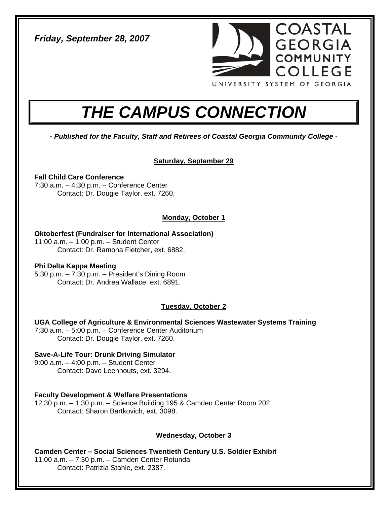*Friday, September 28, 2007* 



# *THE CAMPUS CONNECTION*

*- Published for the Faculty, Staff and Retirees of Coastal Georgia Community College -* 

# **Saturday, September 29**

# **Fall Child Care Conference**

7:30 a.m. – 4:30 p.m. – Conference Center Contact: Dr. Dougie Taylor, ext. 7260.

# **Monday, October 1**

# **Oktoberfest (Fundraiser for International Association)**

11:00 a.m. – 1:00 p.m. – Student Center Contact: Dr. Ramona Fletcher, ext. 6882.

## **Phi Delta Kappa Meeting**

5:30 p.m. – 7:30 p.m. – President's Dining Room Contact: Dr. Andrea Wallace, ext. 6891.

# **Tuesday, October 2**

## **UGA College of Agriculture & Environmental Sciences Wastewater Systems Training**

7:30 a.m. – 5:00 p.m. – Conference Center Auditorium Contact: Dr. Dougie Taylor, ext. 7260.

# **Save-A-Life Tour: Drunk Driving Simulator**

9:00 a.m. – 4:00 p.m. – Student Center Contact: Dave Leenhouts, ext. 3294.

# **Faculty Development & Welfare Presentations**

12:30 p.m. – 1:30 p.m. – Science Building 195 & Camden Center Room 202 Contact: Sharon Bartkovich, ext. 3098.

# **Wednesday, October 3**

**Camden Center – Social Sciences Twentieth Century U.S. Soldier Exhibit**  11:00 a.m. – 7:30 p.m. – Camden Center Rotunda Contact: Patrizia Stahle, ext. 2387.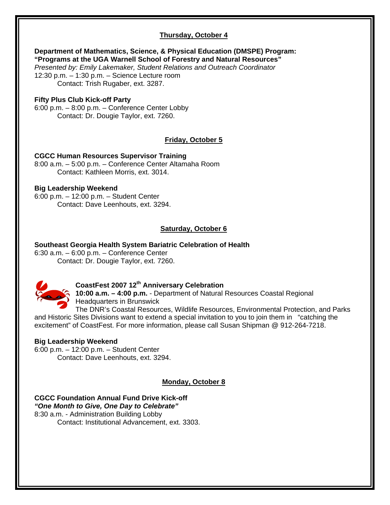# **Thursday, October 4**

#### **Department of Mathematics, Science, & Physical Education (DMSPE) Program: "Programs at the UGA Warnell School of Forestry and Natural Resources"**

*Presented by: Emily Lakemaker, Student Relations and Outreach Coordinator*  12:30 p.m. – 1:30 p.m. – Science Lecture room Contact: Trish Rugaber, ext. 3287.

### **Fifty Plus Club Kick-off Party**

6:00 p.m. – 8:00 p.m. – Conference Center Lobby Contact: Dr. Dougie Taylor, ext. 7260.

## **Friday, October 5**

#### **CGCC Human Resources Supervisor Training**

8:00 a.m. – 5:00 p.m. – Conference Center Altamaha Room Contact: Kathleen Morris, ext. 3014.

#### **Big Leadership Weekend**

6:00 p.m. – 12:00 p.m. – Student Center Contact: Dave Leenhouts, ext. 3294.

## **Saturday, October 6**

#### **Southeast Georgia Health System Bariatric Celebration of Health**

6:30 a.m. – 6:00 p.m. – Conference Center Contact: Dr. Dougie Taylor, ext. 7260.



# **CoastFest 2007 12th Anniversary Celebration**

**10:00 a.m. – 4:00 p.m.** - Department of Natural Resources Coastal Regional Headquarters in Brunswick

The DNR's Coastal Resources, Wildlife Resources, Environmental Protection, and Parks and Historic Sites Divisions want to extend a special invitation to you to join them in "catching the excitement" of CoastFest. For more information, please call Susan Shipman @ 912-264-7218.

## **Big Leadership Weekend**

6:00 p.m. – 12:00 p.m. – Student Center Contact: Dave Leenhouts, ext. 3294.

## **Monday, October 8**

**CGCC Foundation Annual Fund Drive Kick-off**  *"One Month to Give, One Day to Celebrate"*  8:30 a.m. - Administration Building Lobby Contact: Institutional Advancement, ext. 3303.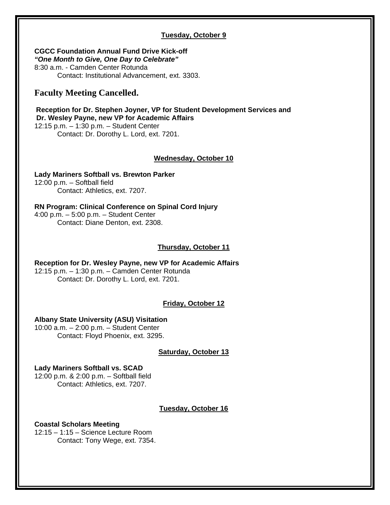## **Tuesday, October 9**

**CGCC Foundation Annual Fund Drive Kick-off**  *"One Month to Give, One Day to Celebrate"*  8:30 a.m. - Camden Center Rotunda Contact: Institutional Advancement, ext. 3303.

# **Faculty Meeting Cancelled.**

**Reception for Dr. Stephen Joyner, VP for Student Development Services and Dr. Wesley Payne, new VP for Academic Affairs**  12:15 p.m. – 1:30 p.m. – Student Center Contact: Dr. Dorothy L. Lord, ext. 7201.

#### **Wednesday, October 10**

**Lady Mariners Softball vs. Brewton Parker**  12:00 p.m. – Softball field Contact: Athletics, ext. 7207.

**RN Program: Clinical Conference on Spinal Cord Injury**  4:00 p.m. – 5:00 p.m. – Student Center Contact: Diane Denton, ext. 2308.

#### **Thursday, October 11**

**Reception for Dr. Wesley Payne, new VP for Academic Affairs**  12:15 p.m. – 1:30 p.m. – Camden Center Rotunda Contact: Dr. Dorothy L. Lord, ext. 7201.

## **Friday, October 12**

#### **Albany State University (ASU) Visitation**

10:00 a.m. – 2:00 p.m. – Student Center Contact: Floyd Phoenix, ext. 3295.

## **Saturday, October 13**

**Lady Mariners Softball vs. SCAD**  12:00 p.m. & 2:00 p.m. – Softball field Contact: Athletics, ext. 7207.

## **Tuesday, October 16**

#### **Coastal Scholars Meeting**  12:15 – 1:15 – Science Lecture Room Contact: Tony Wege, ext. 7354.